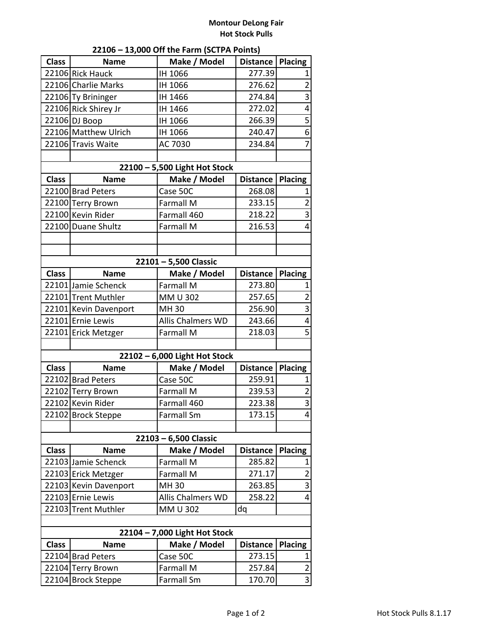## **Montour DeLong Fair Hot Stock Pulls**

| 22106 - 13,000 Off the Farm (SCTPA Points)                                       |                       |                               |                 |                                  |  |  |  |
|----------------------------------------------------------------------------------|-----------------------|-------------------------------|-----------------|----------------------------------|--|--|--|
| <b>Class</b>                                                                     | <b>Name</b>           | Make / Model                  | <b>Distance</b> | <b>Placing</b>                   |  |  |  |
|                                                                                  | 22106 Rick Hauck      | IH 1066                       | 277.39          | 1                                |  |  |  |
|                                                                                  | 22106 Charlie Marks   | IH 1066                       | 276.62          | $\overline{2}$                   |  |  |  |
|                                                                                  | 22106 Ty Brininger    | IH 1466                       | 274.84          | 3                                |  |  |  |
|                                                                                  | 22106 Rick Shirey Jr  | IH 1466                       | 272.02          | 4                                |  |  |  |
|                                                                                  | 22106 DJ Boop         | IH 1066                       | 266.39          | 5                                |  |  |  |
|                                                                                  | 22106 Matthew Ulrich  | IH 1066                       | 240.47          | $\overline{6}$                   |  |  |  |
|                                                                                  | 22106 Travis Waite    | AC 7030                       | 234.84          | $\overline{7}$                   |  |  |  |
|                                                                                  |                       |                               |                 |                                  |  |  |  |
| 22100 - 5,500 Light Hot Stock                                                    |                       |                               |                 |                                  |  |  |  |
| <b>Class</b>                                                                     | <b>Name</b>           | Make / Model                  | <b>Distance</b> | <b>Placing</b>                   |  |  |  |
|                                                                                  | 22100 Brad Peters     | Case 50C                      | 268.08          | 1                                |  |  |  |
|                                                                                  | 22100 Terry Brown     | Farmall M                     | 233.15          | $\overline{2}$                   |  |  |  |
|                                                                                  | 22100 Kevin Rider     | Farmall 460                   | 218.22          | 3                                |  |  |  |
|                                                                                  | 22100 Duane Shultz    | <b>Farmall M</b>              | 216.53          | 4                                |  |  |  |
|                                                                                  |                       |                               |                 |                                  |  |  |  |
|                                                                                  |                       |                               |                 |                                  |  |  |  |
| 22101 - 5,500 Classic                                                            |                       |                               |                 |                                  |  |  |  |
| <b>Class</b>                                                                     | <b>Name</b>           | Make / Model                  | <b>Distance</b> | <b>Placing</b>                   |  |  |  |
|                                                                                  | 22101 Jamie Schenck   | Farmall M                     | 273.80          | 1                                |  |  |  |
|                                                                                  | 22101 Trent Muthler   | MM U 302                      | 257.65          | $\overline{\mathbf{c}}$          |  |  |  |
|                                                                                  | 22101 Kevin Davenport | MH 30                         | 256.90          | 3                                |  |  |  |
|                                                                                  | 22101 Ernie Lewis     | Allis Chalmers WD             | 243.66          | 4                                |  |  |  |
|                                                                                  | 22101 Erick Metzger   | <b>Farmall M</b>              | 218.03          | 5                                |  |  |  |
|                                                                                  |                       |                               |                 |                                  |  |  |  |
|                                                                                  |                       | 22102 - 6,000 Light Hot Stock |                 |                                  |  |  |  |
| <b>Class</b>                                                                     | <b>Name</b>           | Make / Model                  | <b>Distance</b> | Placing                          |  |  |  |
|                                                                                  | 22102 Brad Peters     | Case 50C                      | 259.91          | 1                                |  |  |  |
|                                                                                  | 22102 Terry Brown     | <b>Farmall M</b>              | 239.53          | $\overline{2}$<br>$\overline{3}$ |  |  |  |
|                                                                                  | 22102 Kevin Rider     | Farmall 460                   | 223.38          |                                  |  |  |  |
|                                                                                  | 22102 Brock Steppe    | <b>Farmall Sm</b>             | 173.15          | 4                                |  |  |  |
| 22103 - 6,500 Classic                                                            |                       |                               |                 |                                  |  |  |  |
| <b>Class</b><br>Make / Model<br><b>Placing</b><br><b>Name</b><br><b>Distance</b> |                       |                               |                 |                                  |  |  |  |
|                                                                                  | 22103 Jamie Schenck   | Farmall M                     | 285.82          | 1                                |  |  |  |
|                                                                                  | 22103 Erick Metzger   | <b>Farmall M</b>              | 271.17          | $\overline{2}$                   |  |  |  |
|                                                                                  | 22103 Kevin Davenport | MH 30                         | 263.85          | 3                                |  |  |  |
|                                                                                  | 22103 Ernie Lewis     | Allis Chalmers WD             | 258.22          | 4                                |  |  |  |
|                                                                                  | 22103 Trent Muthler   | MM U 302                      | dq              |                                  |  |  |  |
|                                                                                  |                       |                               |                 |                                  |  |  |  |
| 22104 - 7,000 Light Hot Stock                                                    |                       |                               |                 |                                  |  |  |  |
| <b>Class</b>                                                                     | <b>Name</b>           | Make / Model                  | <b>Distance</b> | <b>Placing</b>                   |  |  |  |
|                                                                                  | 22104 Brad Peters     | Case 50C                      | 273.15          | 1                                |  |  |  |
|                                                                                  | 22104 Terry Brown     | Farmall M                     | 257.84          | 2                                |  |  |  |
|                                                                                  | 22104 Brock Steppe    | Farmall Sm                    | 170.70          | 3                                |  |  |  |